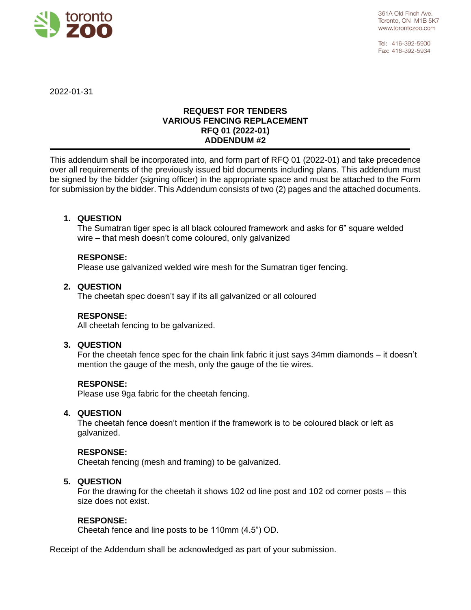

Tel: 416-392-5900 Fax: 416-392-5934

2022-01-31

# **REQUEST FOR TENDERS VARIOUS FENCING REPLACEMENT RFQ 01 (2022-01) ADDENDUM #2**

This addendum shall be incorporated into, and form part of RFQ 01 (2022-01) and take precedence over all requirements of the previously issued bid documents including plans. This addendum must be signed by the bidder (signing officer) in the appropriate space and must be attached to the Form for submission by the bidder. This Addendum consists of two (2) pages and the attached documents.

## **1. QUESTION**

The Sumatran tiger spec is all black coloured framework and asks for 6" square welded wire – that mesh doesn't come coloured, only galvanized

### **RESPONSE:**

Please use galvanized welded wire mesh for the Sumatran tiger fencing.

#### **2. QUESTION**

The cheetah spec doesn't say if its all galvanized or all coloured

#### **RESPONSE:**

All cheetah fencing to be galvanized.

#### **3. QUESTION**

For the cheetah fence spec for the chain link fabric it just says 34mm diamonds – it doesn't mention the gauge of the mesh, only the gauge of the tie wires.

#### **RESPONSE:**

Please use 9ga fabric for the cheetah fencing.

#### **4. QUESTION**

The cheetah fence doesn't mention if the framework is to be coloured black or left as galvanized.

#### **RESPONSE:**

Cheetah fencing (mesh and framing) to be galvanized.

#### **5. QUESTION**

For the drawing for the cheetah it shows 102 od line post and 102 od corner posts – this size does not exist.

#### **RESPONSE:**

Cheetah fence and line posts to be 110mm (4.5") OD.

Receipt of the Addendum shall be acknowledged as part of your submission.